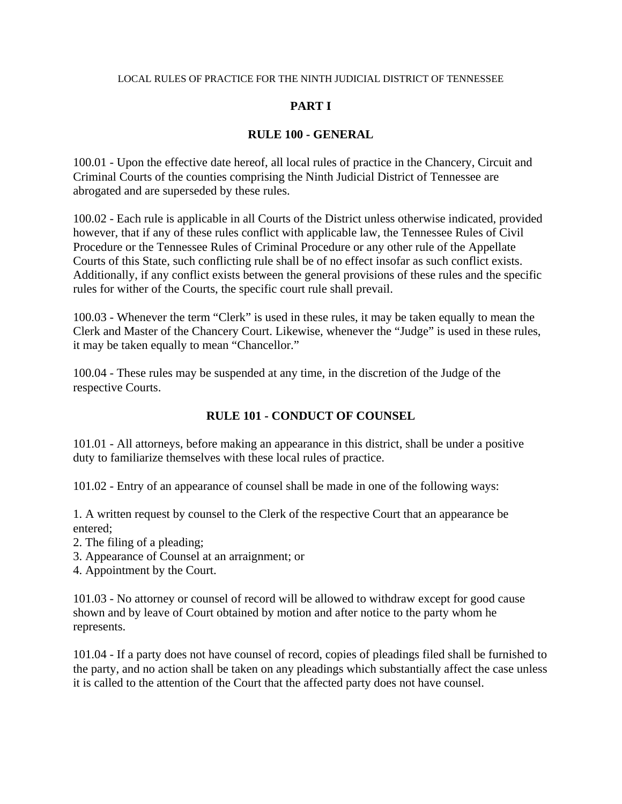#### LOCAL RULES OF PRACTICE FOR THE NINTH JUDICIAL DISTRICT OF TENNESSEE

# **PART I**

## **RULE 100 - GENERAL**

100.01 - Upon the effective date hereof, all local rules of practice in the Chancery, Circuit and Criminal Courts of the counties comprising the Ninth Judicial District of Tennessee are abrogated and are superseded by these rules.

100.02 - Each rule is applicable in all Courts of the District unless otherwise indicated, provided however, that if any of these rules conflict with applicable law, the Tennessee Rules of Civil Procedure or the Tennessee Rules of Criminal Procedure or any other rule of the Appellate Courts of this State, such conflicting rule shall be of no effect insofar as such conflict exists. Additionally, if any conflict exists between the general provisions of these rules and the specific rules for wither of the Courts, the specific court rule shall prevail.

100.03 - Whenever the term "Clerk" is used in these rules, it may be taken equally to mean the Clerk and Master of the Chancery Court. Likewise, whenever the "Judge" is used in these rules, it may be taken equally to mean "Chancellor."

100.04 - These rules may be suspended at any time, in the discretion of the Judge of the respective Courts.

### **RULE 101 - CONDUCT OF COUNSEL**

101.01 - All attorneys, before making an appearance in this district, shall be under a positive duty to familiarize themselves with these local rules of practice.

101.02 - Entry of an appearance of counsel shall be made in one of the following ways:

1. A written request by counsel to the Clerk of the respective Court that an appearance be entered;

- 2. The filing of a pleading;
- 3. Appearance of Counsel at an arraignment; or
- 4. Appointment by the Court.

101.03 - No attorney or counsel of record will be allowed to withdraw except for good cause shown and by leave of Court obtained by motion and after notice to the party whom he represents.

101.04 - If a party does not have counsel of record, copies of pleadings filed shall be furnished to the party, and no action shall be taken on any pleadings which substantially affect the case unless it is called to the attention of the Court that the affected party does not have counsel.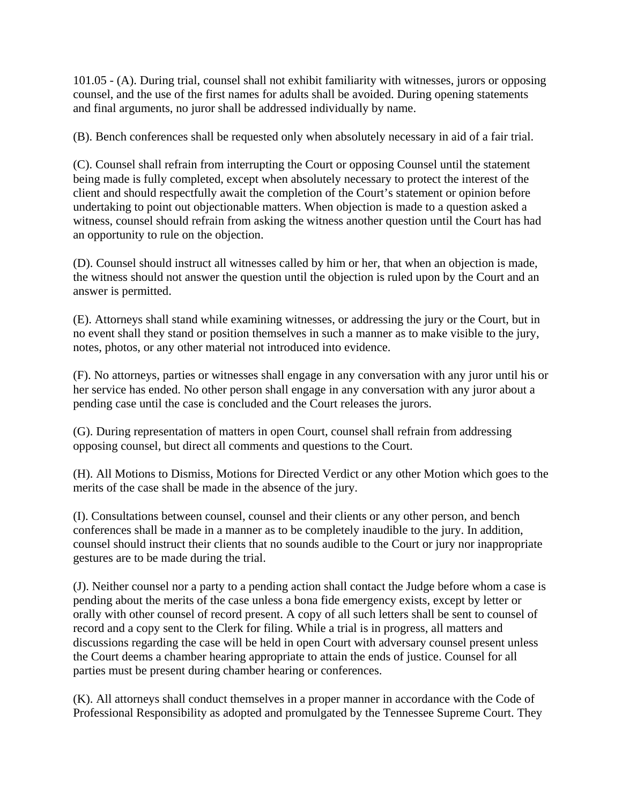101.05 - (A). During trial, counsel shall not exhibit familiarity with witnesses, jurors or opposing counsel, and the use of the first names for adults shall be avoided. During opening statements and final arguments, no juror shall be addressed individually by name.

(B). Bench conferences shall be requested only when absolutely necessary in aid of a fair trial.

(C). Counsel shall refrain from interrupting the Court or opposing Counsel until the statement being made is fully completed, except when absolutely necessary to protect the interest of the client and should respectfully await the completion of the Court's statement or opinion before undertaking to point out objectionable matters. When objection is made to a question asked a witness, counsel should refrain from asking the witness another question until the Court has had an opportunity to rule on the objection.

(D). Counsel should instruct all witnesses called by him or her, that when an objection is made, the witness should not answer the question until the objection is ruled upon by the Court and an answer is permitted.

(E). Attorneys shall stand while examining witnesses, or addressing the jury or the Court, but in no event shall they stand or position themselves in such a manner as to make visible to the jury, notes, photos, or any other material not introduced into evidence.

(F). No attorneys, parties or witnesses shall engage in any conversation with any juror until his or her service has ended. No other person shall engage in any conversation with any juror about a pending case until the case is concluded and the Court releases the jurors.

(G). During representation of matters in open Court, counsel shall refrain from addressing opposing counsel, but direct all comments and questions to the Court.

(H). All Motions to Dismiss, Motions for Directed Verdict or any other Motion which goes to the merits of the case shall be made in the absence of the jury.

(I). Consultations between counsel, counsel and their clients or any other person, and bench conferences shall be made in a manner as to be completely inaudible to the jury. In addition, counsel should instruct their clients that no sounds audible to the Court or jury nor inappropriate gestures are to be made during the trial.

(J). Neither counsel nor a party to a pending action shall contact the Judge before whom a case is pending about the merits of the case unless a bona fide emergency exists, except by letter or orally with other counsel of record present. A copy of all such letters shall be sent to counsel of record and a copy sent to the Clerk for filing. While a trial is in progress, all matters and discussions regarding the case will be held in open Court with adversary counsel present unless the Court deems a chamber hearing appropriate to attain the ends of justice. Counsel for all parties must be present during chamber hearing or conferences.

(K). All attorneys shall conduct themselves in a proper manner in accordance with the Code of Professional Responsibility as adopted and promulgated by the Tennessee Supreme Court. They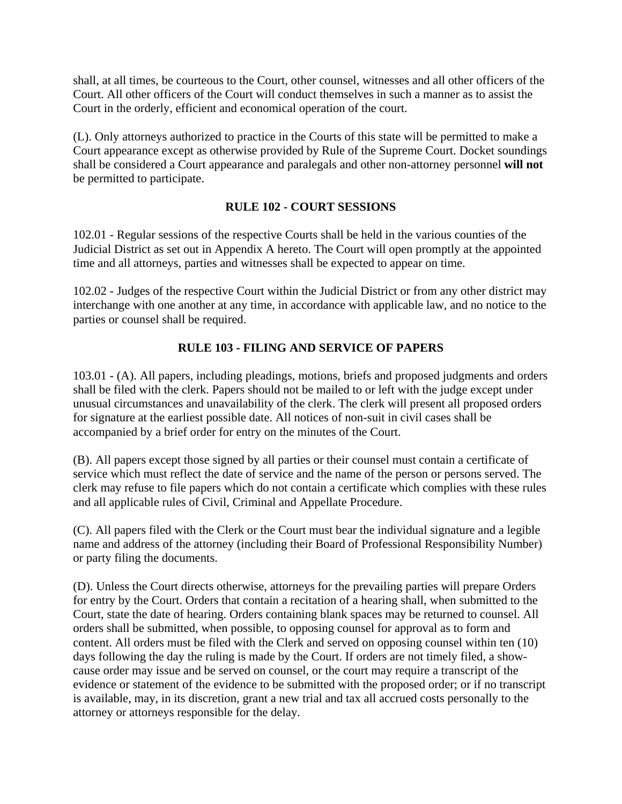shall, at all times, be courteous to the Court, other counsel, witnesses and all other officers of the Court. All other officers of the Court will conduct themselves in such a manner as to assist the Court in the orderly, efficient and economical operation of the court.

(L). Only attorneys authorized to practice in the Courts of this state will be permitted to make a Court appearance except as otherwise provided by Rule of the Supreme Court. Docket soundings shall be considered a Court appearance and paralegals and other non-attorney personnel **will not** be permitted to participate.

### **RULE 102 - COURT SESSIONS**

102.01 - Regular sessions of the respective Courts shall be held in the various counties of the Judicial District as set out in Appendix A hereto. The Court will open promptly at the appointed time and all attorneys, parties and witnesses shall be expected to appear on time.

102.02 - Judges of the respective Court within the Judicial District or from any other district may interchange with one another at any time, in accordance with applicable law, and no notice to the parties or counsel shall be required.

### **RULE 103 - FILING AND SERVICE OF PAPERS**

103.01 - (A). All papers, including pleadings, motions, briefs and proposed judgments and orders shall be filed with the clerk. Papers should not be mailed to or left with the judge except under unusual circumstances and unavailability of the clerk. The clerk will present all proposed orders for signature at the earliest possible date. All notices of non-suit in civil cases shall be accompanied by a brief order for entry on the minutes of the Court.

(B). All papers except those signed by all parties or their counsel must contain a certificate of service which must reflect the date of service and the name of the person or persons served. The clerk may refuse to file papers which do not contain a certificate which complies with these rules and all applicable rules of Civil, Criminal and Appellate Procedure.

(C). All papers filed with the Clerk or the Court must bear the individual signature and a legible name and address of the attorney (including their Board of Professional Responsibility Number) or party filing the documents.

(D). Unless the Court directs otherwise, attorneys for the prevailing parties will prepare Orders for entry by the Court. Orders that contain a recitation of a hearing shall, when submitted to the Court, state the date of hearing. Orders containing blank spaces may be returned to counsel. All orders shall be submitted, when possible, to opposing counsel for approval as to form and content. All orders must be filed with the Clerk and served on opposing counsel within ten (10) days following the day the ruling is made by the Court. If orders are not timely filed, a showcause order may issue and be served on counsel, or the court may require a transcript of the evidence or statement of the evidence to be submitted with the proposed order; or if no transcript is available, may, in its discretion, grant a new trial and tax all accrued costs personally to the attorney or attorneys responsible for the delay.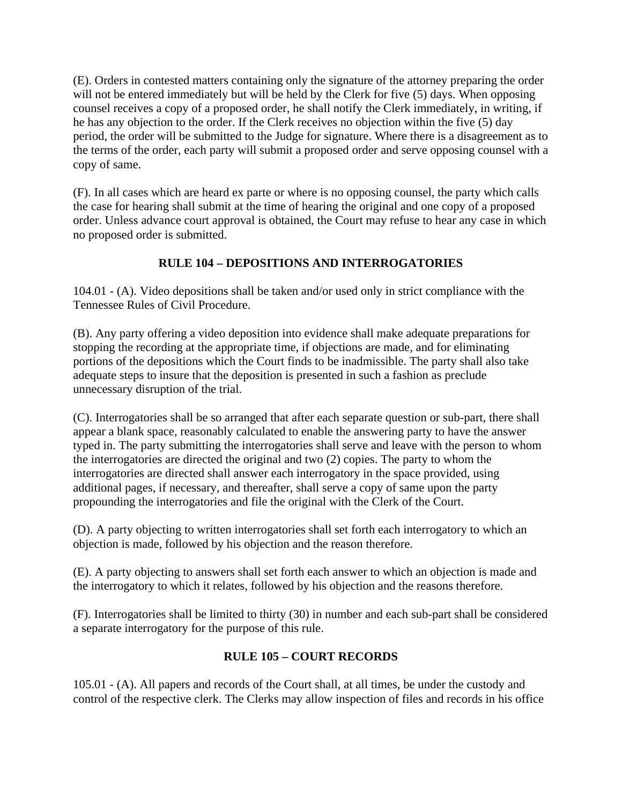(E). Orders in contested matters containing only the signature of the attorney preparing the order will not be entered immediately but will be held by the Clerk for five (5) days. When opposing counsel receives a copy of a proposed order, he shall notify the Clerk immediately, in writing, if he has any objection to the order. If the Clerk receives no objection within the five (5) day period, the order will be submitted to the Judge for signature. Where there is a disagreement as to the terms of the order, each party will submit a proposed order and serve opposing counsel with a copy of same.

(F). In all cases which are heard ex parte or where is no opposing counsel, the party which calls the case for hearing shall submit at the time of hearing the original and one copy of a proposed order. Unless advance court approval is obtained, the Court may refuse to hear any case in which no proposed order is submitted.

# **RULE 104 – DEPOSITIONS AND INTERROGATORIES**

104.01 - (A). Video depositions shall be taken and/or used only in strict compliance with the Tennessee Rules of Civil Procedure.

(B). Any party offering a video deposition into evidence shall make adequate preparations for stopping the recording at the appropriate time, if objections are made, and for eliminating portions of the depositions which the Court finds to be inadmissible. The party shall also take adequate steps to insure that the deposition is presented in such a fashion as preclude unnecessary disruption of the trial.

(C). Interrogatories shall be so arranged that after each separate question or sub-part, there shall appear a blank space, reasonably calculated to enable the answering party to have the answer typed in. The party submitting the interrogatories shall serve and leave with the person to whom the interrogatories are directed the original and two (2) copies. The party to whom the interrogatories are directed shall answer each interrogatory in the space provided, using additional pages, if necessary, and thereafter, shall serve a copy of same upon the party propounding the interrogatories and file the original with the Clerk of the Court.

(D). A party objecting to written interrogatories shall set forth each interrogatory to which an objection is made, followed by his objection and the reason therefore.

(E). A party objecting to answers shall set forth each answer to which an objection is made and the interrogatory to which it relates, followed by his objection and the reasons therefore.

(F). Interrogatories shall be limited to thirty (30) in number and each sub-part shall be considered a separate interrogatory for the purpose of this rule.

# **RULE 105 – COURT RECORDS**

105.01 - (A). All papers and records of the Court shall, at all times, be under the custody and control of the respective clerk. The Clerks may allow inspection of files and records in his office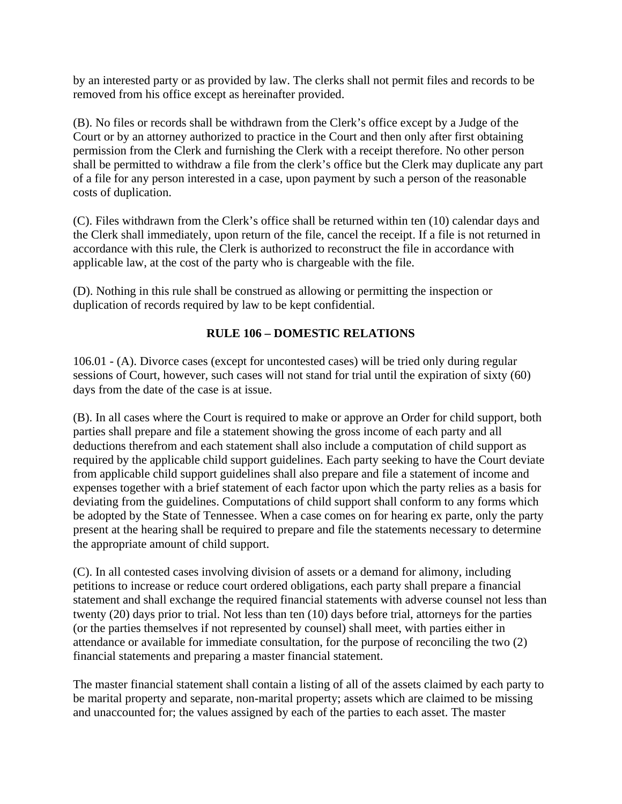by an interested party or as provided by law. The clerks shall not permit files and records to be removed from his office except as hereinafter provided.

(B). No files or records shall be withdrawn from the Clerk's office except by a Judge of the Court or by an attorney authorized to practice in the Court and then only after first obtaining permission from the Clerk and furnishing the Clerk with a receipt therefore. No other person shall be permitted to withdraw a file from the clerk's office but the Clerk may duplicate any part of a file for any person interested in a case, upon payment by such a person of the reasonable costs of duplication.

(C). Files withdrawn from the Clerk's office shall be returned within ten (10) calendar days and the Clerk shall immediately, upon return of the file, cancel the receipt. If a file is not returned in accordance with this rule, the Clerk is authorized to reconstruct the file in accordance with applicable law, at the cost of the party who is chargeable with the file.

(D). Nothing in this rule shall be construed as allowing or permitting the inspection or duplication of records required by law to be kept confidential.

# **RULE 106 – DOMESTIC RELATIONS**

106.01 - (A). Divorce cases (except for uncontested cases) will be tried only during regular sessions of Court, however, such cases will not stand for trial until the expiration of sixty (60) days from the date of the case is at issue.

(B). In all cases where the Court is required to make or approve an Order for child support, both parties shall prepare and file a statement showing the gross income of each party and all deductions therefrom and each statement shall also include a computation of child support as required by the applicable child support guidelines. Each party seeking to have the Court deviate from applicable child support guidelines shall also prepare and file a statement of income and expenses together with a brief statement of each factor upon which the party relies as a basis for deviating from the guidelines. Computations of child support shall conform to any forms which be adopted by the State of Tennessee. When a case comes on for hearing ex parte, only the party present at the hearing shall be required to prepare and file the statements necessary to determine the appropriate amount of child support.

(C). In all contested cases involving division of assets or a demand for alimony, including petitions to increase or reduce court ordered obligations, each party shall prepare a financial statement and shall exchange the required financial statements with adverse counsel not less than twenty (20) days prior to trial. Not less than ten (10) days before trial, attorneys for the parties (or the parties themselves if not represented by counsel) shall meet, with parties either in attendance or available for immediate consultation, for the purpose of reconciling the two (2) financial statements and preparing a master financial statement.

The master financial statement shall contain a listing of all of the assets claimed by each party to be marital property and separate, non-marital property; assets which are claimed to be missing and unaccounted for; the values assigned by each of the parties to each asset. The master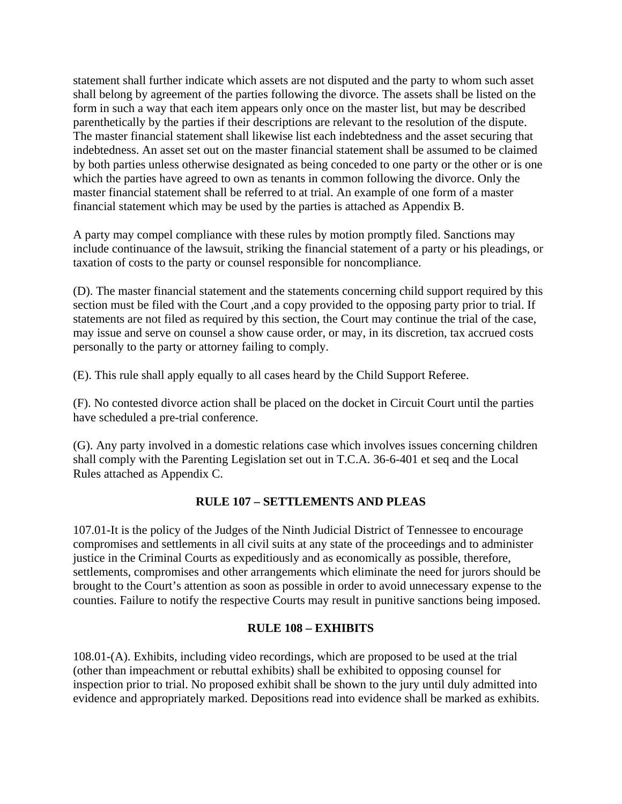statement shall further indicate which assets are not disputed and the party to whom such asset shall belong by agreement of the parties following the divorce. The assets shall be listed on the form in such a way that each item appears only once on the master list, but may be described parenthetically by the parties if their descriptions are relevant to the resolution of the dispute. The master financial statement shall likewise list each indebtedness and the asset securing that indebtedness. An asset set out on the master financial statement shall be assumed to be claimed by both parties unless otherwise designated as being conceded to one party or the other or is one which the parties have agreed to own as tenants in common following the divorce. Only the master financial statement shall be referred to at trial. An example of one form of a master financial statement which may be used by the parties is attached as Appendix B.

A party may compel compliance with these rules by motion promptly filed. Sanctions may include continuance of the lawsuit, striking the financial statement of a party or his pleadings, or taxation of costs to the party or counsel responsible for noncompliance.

(D). The master financial statement and the statements concerning child support required by this section must be filed with the Court ,and a copy provided to the opposing party prior to trial. If statements are not filed as required by this section, the Court may continue the trial of the case, may issue and serve on counsel a show cause order, or may, in its discretion, tax accrued costs personally to the party or attorney failing to comply.

(E). This rule shall apply equally to all cases heard by the Child Support Referee.

(F). No contested divorce action shall be placed on the docket in Circuit Court until the parties have scheduled a pre-trial conference.

(G). Any party involved in a domestic relations case which involves issues concerning children shall comply with the Parenting Legislation set out in T.C.A. 36-6-401 et seq and the Local Rules attached as Appendix C.

### **RULE 107 – SETTLEMENTS AND PLEAS**

107.01-It is the policy of the Judges of the Ninth Judicial District of Tennessee to encourage compromises and settlements in all civil suits at any state of the proceedings and to administer justice in the Criminal Courts as expeditiously and as economically as possible, therefore, settlements, compromises and other arrangements which eliminate the need for jurors should be brought to the Court's attention as soon as possible in order to avoid unnecessary expense to the counties. Failure to notify the respective Courts may result in punitive sanctions being imposed.

### **RULE 108 – EXHIBITS**

108.01-(A). Exhibits, including video recordings, which are proposed to be used at the trial (other than impeachment or rebuttal exhibits) shall be exhibited to opposing counsel for inspection prior to trial. No proposed exhibit shall be shown to the jury until duly admitted into evidence and appropriately marked. Depositions read into evidence shall be marked as exhibits.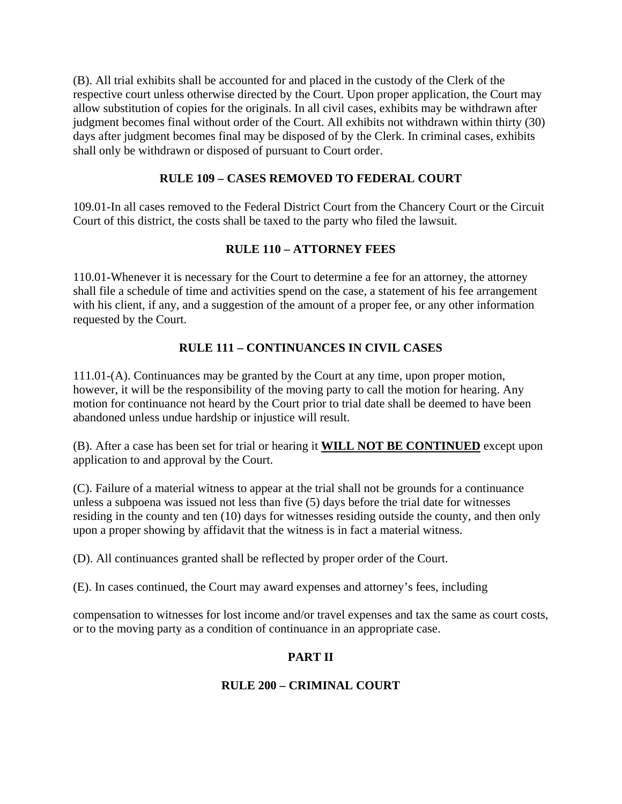(B). All trial exhibits shall be accounted for and placed in the custody of the Clerk of the respective court unless otherwise directed by the Court. Upon proper application, the Court may allow substitution of copies for the originals. In all civil cases, exhibits may be withdrawn after judgment becomes final without order of the Court. All exhibits not withdrawn within thirty (30) days after judgment becomes final may be disposed of by the Clerk. In criminal cases, exhibits shall only be withdrawn or disposed of pursuant to Court order.

## **RULE 109 – CASES REMOVED TO FEDERAL COURT**

109.01-In all cases removed to the Federal District Court from the Chancery Court or the Circuit Court of this district, the costs shall be taxed to the party who filed the lawsuit.

### **RULE 110 – ATTORNEY FEES**

110.01-Whenever it is necessary for the Court to determine a fee for an attorney, the attorney shall file a schedule of time and activities spend on the case, a statement of his fee arrangement with his client, if any, and a suggestion of the amount of a proper fee, or any other information requested by the Court.

## **RULE 111 – CONTINUANCES IN CIVIL CASES**

111.01-(A). Continuances may be granted by the Court at any time, upon proper motion, however, it will be the responsibility of the moving party to call the motion for hearing. Any motion for continuance not heard by the Court prior to trial date shall be deemed to have been abandoned unless undue hardship or injustice will result.

(B). After a case has been set for trial or hearing it **WILL NOT BE CONTINUED** except upon application to and approval by the Court.

(C). Failure of a material witness to appear at the trial shall not be grounds for a continuance unless a subpoena was issued not less than five (5) days before the trial date for witnesses residing in the county and ten (10) days for witnesses residing outside the county, and then only upon a proper showing by affidavit that the witness is in fact a material witness.

(D). All continuances granted shall be reflected by proper order of the Court.

(E). In cases continued, the Court may award expenses and attorney's fees, including

compensation to witnesses for lost income and/or travel expenses and tax the same as court costs, or to the moving party as a condition of continuance in an appropriate case.

# **PART II**

### **RULE 200 – CRIMINAL COURT**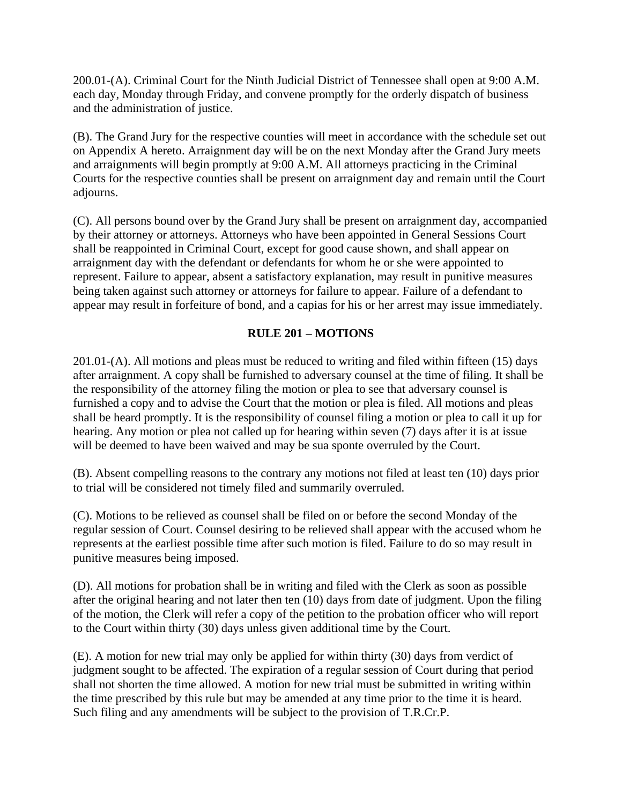200.01-(A). Criminal Court for the Ninth Judicial District of Tennessee shall open at 9:00 A.M. each day, Monday through Friday, and convene promptly for the orderly dispatch of business and the administration of justice.

(B). The Grand Jury for the respective counties will meet in accordance with the schedule set out on Appendix A hereto. Arraignment day will be on the next Monday after the Grand Jury meets and arraignments will begin promptly at 9:00 A.M. All attorneys practicing in the Criminal Courts for the respective counties shall be present on arraignment day and remain until the Court adjourns.

(C). All persons bound over by the Grand Jury shall be present on arraignment day, accompanied by their attorney or attorneys. Attorneys who have been appointed in General Sessions Court shall be reappointed in Criminal Court, except for good cause shown, and shall appear on arraignment day with the defendant or defendants for whom he or she were appointed to represent. Failure to appear, absent a satisfactory explanation, may result in punitive measures being taken against such attorney or attorneys for failure to appear. Failure of a defendant to appear may result in forfeiture of bond, and a capias for his or her arrest may issue immediately.

## **RULE 201 – MOTIONS**

201.01-(A). All motions and pleas must be reduced to writing and filed within fifteen (15) days after arraignment. A copy shall be furnished to adversary counsel at the time of filing. It shall be the responsibility of the attorney filing the motion or plea to see that adversary counsel is furnished a copy and to advise the Court that the motion or plea is filed. All motions and pleas shall be heard promptly. It is the responsibility of counsel filing a motion or plea to call it up for hearing. Any motion or plea not called up for hearing within seven (7) days after it is at issue will be deemed to have been waived and may be sua sponte overruled by the Court.

(B). Absent compelling reasons to the contrary any motions not filed at least ten (10) days prior to trial will be considered not timely filed and summarily overruled.

(C). Motions to be relieved as counsel shall be filed on or before the second Monday of the regular session of Court. Counsel desiring to be relieved shall appear with the accused whom he represents at the earliest possible time after such motion is filed. Failure to do so may result in punitive measures being imposed.

(D). All motions for probation shall be in writing and filed with the Clerk as soon as possible after the original hearing and not later then ten (10) days from date of judgment. Upon the filing of the motion, the Clerk will refer a copy of the petition to the probation officer who will report to the Court within thirty (30) days unless given additional time by the Court.

(E). A motion for new trial may only be applied for within thirty (30) days from verdict of judgment sought to be affected. The expiration of a regular session of Court during that period shall not shorten the time allowed. A motion for new trial must be submitted in writing within the time prescribed by this rule but may be amended at any time prior to the time it is heard. Such filing and any amendments will be subject to the provision of T.R.Cr.P.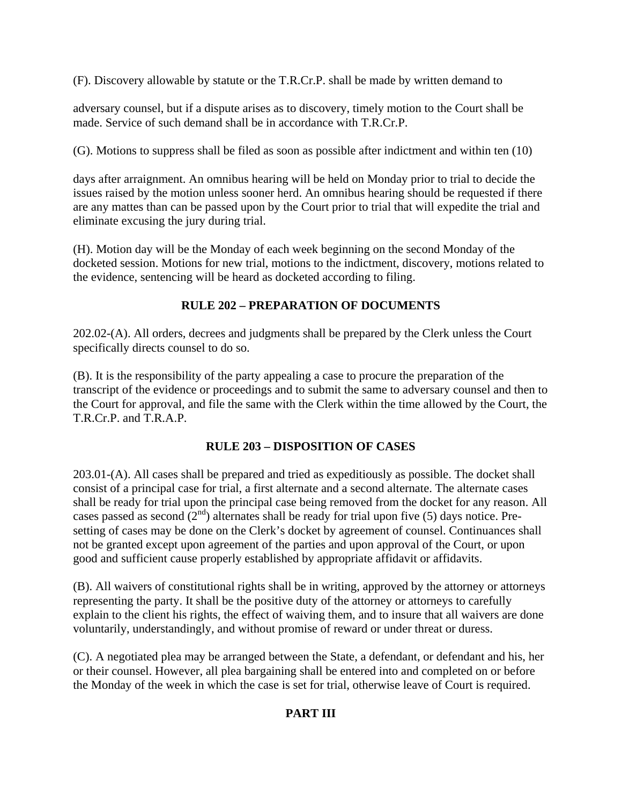(F). Discovery allowable by statute or the T.R.Cr.P. shall be made by written demand to

adversary counsel, but if a dispute arises as to discovery, timely motion to the Court shall be made. Service of such demand shall be in accordance with T.R.Cr.P.

(G). Motions to suppress shall be filed as soon as possible after indictment and within ten (10)

days after arraignment. An omnibus hearing will be held on Monday prior to trial to decide the issues raised by the motion unless sooner herd. An omnibus hearing should be requested if there are any mattes than can be passed upon by the Court prior to trial that will expedite the trial and eliminate excusing the jury during trial.

(H). Motion day will be the Monday of each week beginning on the second Monday of the docketed session. Motions for new trial, motions to the indictment, discovery, motions related to the evidence, sentencing will be heard as docketed according to filing.

## **RULE 202 – PREPARATION OF DOCUMENTS**

202.02-(A). All orders, decrees and judgments shall be prepared by the Clerk unless the Court specifically directs counsel to do so.

(B). It is the responsibility of the party appealing a case to procure the preparation of the transcript of the evidence or proceedings and to submit the same to adversary counsel and then to the Court for approval, and file the same with the Clerk within the time allowed by the Court, the T.R.Cr.P. and T.R.A.P.

# **RULE 203 – DISPOSITION OF CASES**

203.01-(A). All cases shall be prepared and tried as expeditiously as possible. The docket shall consist of a principal case for trial, a first alternate and a second alternate. The alternate cases shall be ready for trial upon the principal case being removed from the docket for any reason. All cases passed as second  $(2<sup>nd</sup>)$  alternates shall be ready for trial upon five (5) days notice. Presetting of cases may be done on the Clerk's docket by agreement of counsel. Continuances shall not be granted except upon agreement of the parties and upon approval of the Court, or upon good and sufficient cause properly established by appropriate affidavit or affidavits.

(B). All waivers of constitutional rights shall be in writing, approved by the attorney or attorneys representing the party. It shall be the positive duty of the attorney or attorneys to carefully explain to the client his rights, the effect of waiving them, and to insure that all waivers are done voluntarily, understandingly, and without promise of reward or under threat or duress.

(C). A negotiated plea may be arranged between the State, a defendant, or defendant and his, her or their counsel. However, all plea bargaining shall be entered into and completed on or before the Monday of the week in which the case is set for trial, otherwise leave of Court is required.

# **PART III**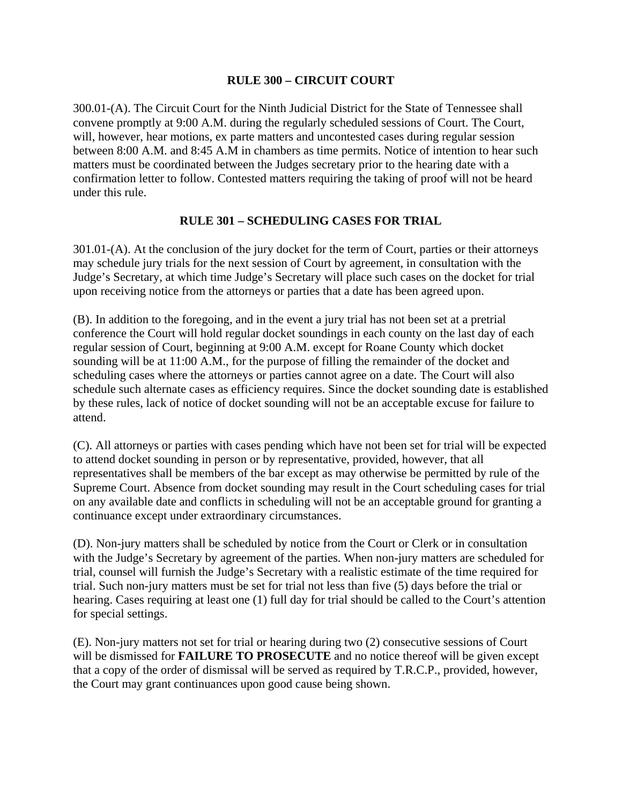#### **RULE 300 – CIRCUIT COURT**

300.01-(A). The Circuit Court for the Ninth Judicial District for the State of Tennessee shall convene promptly at 9:00 A.M. during the regularly scheduled sessions of Court. The Court, will, however, hear motions, ex parte matters and uncontested cases during regular session between 8:00 A.M. and 8:45 A.M in chambers as time permits. Notice of intention to hear such matters must be coordinated between the Judges secretary prior to the hearing date with a confirmation letter to follow. Contested matters requiring the taking of proof will not be heard under this rule.

#### **RULE 301 – SCHEDULING CASES FOR TRIAL**

301.01-(A). At the conclusion of the jury docket for the term of Court, parties or their attorneys may schedule jury trials for the next session of Court by agreement, in consultation with the Judge's Secretary, at which time Judge's Secretary will place such cases on the docket for trial upon receiving notice from the attorneys or parties that a date has been agreed upon.

(B). In addition to the foregoing, and in the event a jury trial has not been set at a pretrial conference the Court will hold regular docket soundings in each county on the last day of each regular session of Court, beginning at 9:00 A.M. except for Roane County which docket sounding will be at 11:00 A.M., for the purpose of filling the remainder of the docket and scheduling cases where the attorneys or parties cannot agree on a date. The Court will also schedule such alternate cases as efficiency requires. Since the docket sounding date is established by these rules, lack of notice of docket sounding will not be an acceptable excuse for failure to attend.

(C). All attorneys or parties with cases pending which have not been set for trial will be expected to attend docket sounding in person or by representative, provided, however, that all representatives shall be members of the bar except as may otherwise be permitted by rule of the Supreme Court. Absence from docket sounding may result in the Court scheduling cases for trial on any available date and conflicts in scheduling will not be an acceptable ground for granting a continuance except under extraordinary circumstances.

(D). Non-jury matters shall be scheduled by notice from the Court or Clerk or in consultation with the Judge's Secretary by agreement of the parties. When non-jury matters are scheduled for trial, counsel will furnish the Judge's Secretary with a realistic estimate of the time required for trial. Such non-jury matters must be set for trial not less than five (5) days before the trial or hearing. Cases requiring at least one (1) full day for trial should be called to the Court's attention for special settings.

(E). Non-jury matters not set for trial or hearing during two (2) consecutive sessions of Court will be dismissed for **FAILURE TO PROSECUTE** and no notice thereof will be given except that a copy of the order of dismissal will be served as required by T.R.C.P., provided, however, the Court may grant continuances upon good cause being shown.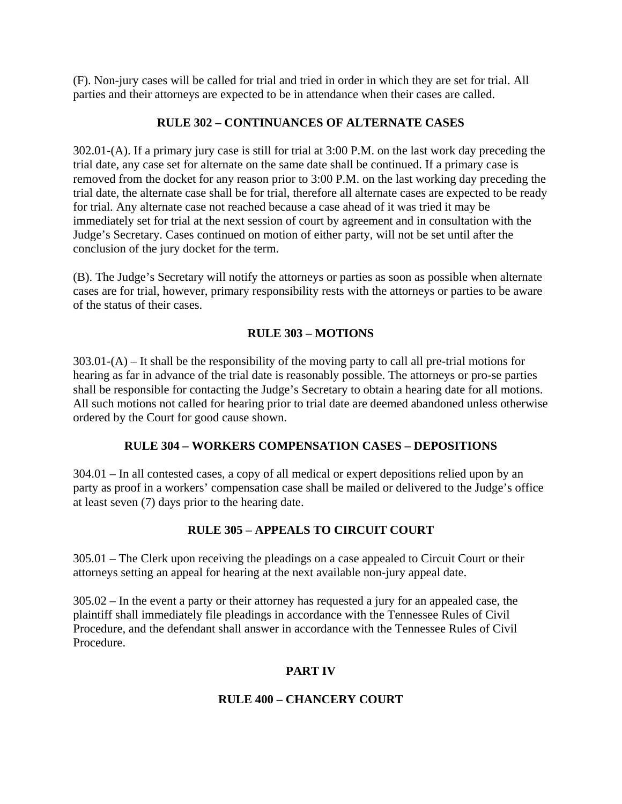(F). Non-jury cases will be called for trial and tried in order in which they are set for trial. All parties and their attorneys are expected to be in attendance when their cases are called.

## **RULE 302 – CONTINUANCES OF ALTERNATE CASES**

302.01-(A). If a primary jury case is still for trial at 3:00 P.M. on the last work day preceding the trial date, any case set for alternate on the same date shall be continued. If a primary case is removed from the docket for any reason prior to 3:00 P.M. on the last working day preceding the trial date, the alternate case shall be for trial, therefore all alternate cases are expected to be ready for trial. Any alternate case not reached because a case ahead of it was tried it may be immediately set for trial at the next session of court by agreement and in consultation with the Judge's Secretary. Cases continued on motion of either party, will not be set until after the conclusion of the jury docket for the term.

(B). The Judge's Secretary will notify the attorneys or parties as soon as possible when alternate cases are for trial, however, primary responsibility rests with the attorneys or parties to be aware of the status of their cases.

## **RULE 303 – MOTIONS**

303.01-(A) – It shall be the responsibility of the moving party to call all pre-trial motions for hearing as far in advance of the trial date is reasonably possible. The attorneys or pro-se parties shall be responsible for contacting the Judge's Secretary to obtain a hearing date for all motions. All such motions not called for hearing prior to trial date are deemed abandoned unless otherwise ordered by the Court for good cause shown.

### **RULE 304 – WORKERS COMPENSATION CASES – DEPOSITIONS**

304.01 – In all contested cases, a copy of all medical or expert depositions relied upon by an party as proof in a workers' compensation case shall be mailed or delivered to the Judge's office at least seven (7) days prior to the hearing date.

# **RULE 305 – APPEALS TO CIRCUIT COURT**

305.01 – The Clerk upon receiving the pleadings on a case appealed to Circuit Court or their attorneys setting an appeal for hearing at the next available non-jury appeal date.

305.02 – In the event a party or their attorney has requested a jury for an appealed case, the plaintiff shall immediately file pleadings in accordance with the Tennessee Rules of Civil Procedure, and the defendant shall answer in accordance with the Tennessee Rules of Civil Procedure.

# **PART IV**

### **RULE 400 – CHANCERY COURT**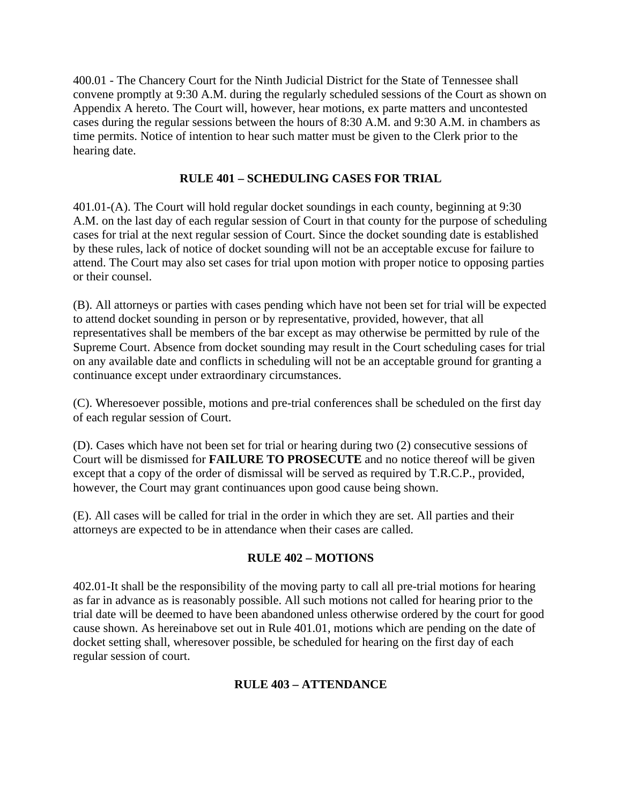400.01 - The Chancery Court for the Ninth Judicial District for the State of Tennessee shall convene promptly at 9:30 A.M. during the regularly scheduled sessions of the Court as shown on Appendix A hereto. The Court will, however, hear motions, ex parte matters and uncontested cases during the regular sessions between the hours of 8:30 A.M. and 9:30 A.M. in chambers as time permits. Notice of intention to hear such matter must be given to the Clerk prior to the hearing date.

## **RULE 401 – SCHEDULING CASES FOR TRIAL**

401.01-(A). The Court will hold regular docket soundings in each county, beginning at 9:30 A.M. on the last day of each regular session of Court in that county for the purpose of scheduling cases for trial at the next regular session of Court. Since the docket sounding date is established by these rules, lack of notice of docket sounding will not be an acceptable excuse for failure to attend. The Court may also set cases for trial upon motion with proper notice to opposing parties or their counsel.

(B). All attorneys or parties with cases pending which have not been set for trial will be expected to attend docket sounding in person or by representative, provided, however, that all representatives shall be members of the bar except as may otherwise be permitted by rule of the Supreme Court. Absence from docket sounding may result in the Court scheduling cases for trial on any available date and conflicts in scheduling will not be an acceptable ground for granting a continuance except under extraordinary circumstances.

(C). Wheresoever possible, motions and pre-trial conferences shall be scheduled on the first day of each regular session of Court.

(D). Cases which have not been set for trial or hearing during two (2) consecutive sessions of Court will be dismissed for **FAILURE TO PROSECUTE** and no notice thereof will be given except that a copy of the order of dismissal will be served as required by T.R.C.P., provided, however, the Court may grant continuances upon good cause being shown.

(E). All cases will be called for trial in the order in which they are set. All parties and their attorneys are expected to be in attendance when their cases are called.

### **RULE 402 – MOTIONS**

402.01-It shall be the responsibility of the moving party to call all pre-trial motions for hearing as far in advance as is reasonably possible. All such motions not called for hearing prior to the trial date will be deemed to have been abandoned unless otherwise ordered by the court for good cause shown. As hereinabove set out in Rule 401.01, motions which are pending on the date of docket setting shall, wheresover possible, be scheduled for hearing on the first day of each regular session of court.

# **RULE 403 – ATTENDANCE**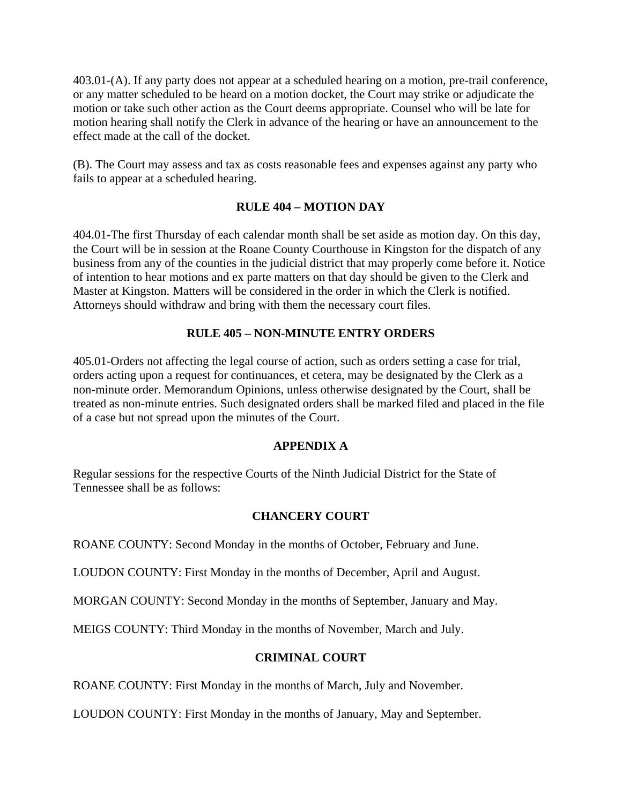403.01-(A). If any party does not appear at a scheduled hearing on a motion, pre-trail conference, or any matter scheduled to be heard on a motion docket, the Court may strike or adjudicate the motion or take such other action as the Court deems appropriate. Counsel who will be late for motion hearing shall notify the Clerk in advance of the hearing or have an announcement to the effect made at the call of the docket.

(B). The Court may assess and tax as costs reasonable fees and expenses against any party who fails to appear at a scheduled hearing.

### **RULE 404 – MOTION DAY**

404.01-The first Thursday of each calendar month shall be set aside as motion day. On this day, the Court will be in session at the Roane County Courthouse in Kingston for the dispatch of any business from any of the counties in the judicial district that may properly come before it. Notice of intention to hear motions and ex parte matters on that day should be given to the Clerk and Master at Kingston. Matters will be considered in the order in which the Clerk is notified. Attorneys should withdraw and bring with them the necessary court files.

#### **RULE 405 – NON-MINUTE ENTRY ORDERS**

405.01-Orders not affecting the legal course of action, such as orders setting a case for trial, orders acting upon a request for continuances, et cetera, may be designated by the Clerk as a non-minute order. Memorandum Opinions, unless otherwise designated by the Court, shall be treated as non-minute entries. Such designated orders shall be marked filed and placed in the file of a case but not spread upon the minutes of the Court.

#### **APPENDIX A**

Regular sessions for the respective Courts of the Ninth Judicial District for the State of Tennessee shall be as follows:

### **CHANCERY COURT**

ROANE COUNTY: Second Monday in the months of October, February and June.

LOUDON COUNTY: First Monday in the months of December, April and August.

MORGAN COUNTY: Second Monday in the months of September, January and May.

MEIGS COUNTY: Third Monday in the months of November, March and July.

#### **CRIMINAL COURT**

ROANE COUNTY: First Monday in the months of March, July and November.

LOUDON COUNTY: First Monday in the months of January, May and September.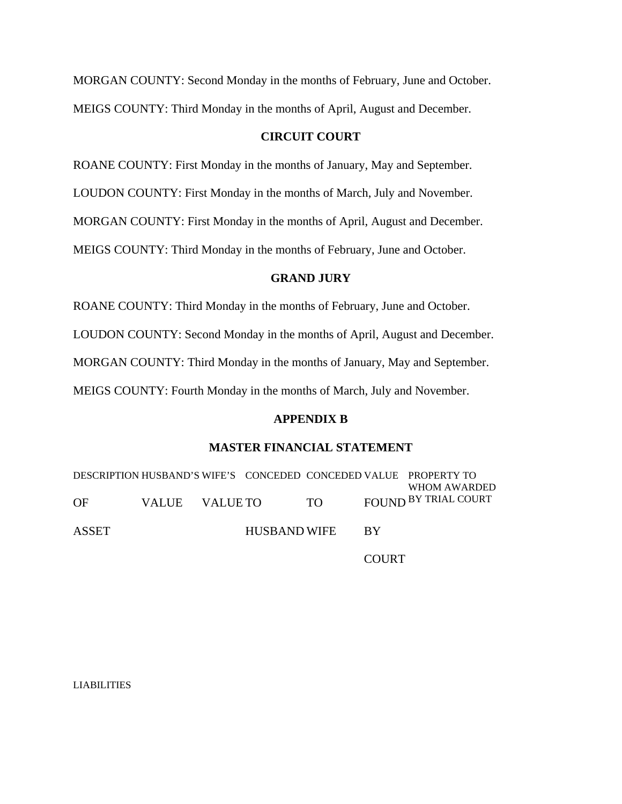| MORGAN COUNTY: Second Monday in the months of February, June and October. |
|---------------------------------------------------------------------------|
| MEIGS COUNTY: Third Monday in the months of April, August and December.   |

#### **CIRCUIT COURT**

ROANE COUNTY: First Monday in the months of January, May and September.

LOUDON COUNTY: First Monday in the months of March, July and November.

MORGAN COUNTY: First Monday in the months of April, August and December.

MEIGS COUNTY: Third Monday in the months of February, June and October.

#### **GRAND JURY**

ROANE COUNTY: Third Monday in the months of February, June and October.

LOUDON COUNTY: Second Monday in the months of April, August and December.

MORGAN COUNTY: Third Monday in the months of January, May and September.

MEIGS COUNTY: Fourth Monday in the months of March, July and November.

#### **APPENDIX B**

#### **MASTER FINANCIAL STATEMENT**

DESCRIPTION HUSBAND'S WIFE'S CONCEDED CONCEDED VALUE PROPERTY TO OF ASSET VALUE VALUE TO HUSBAND WIFE TO FOUND BY TRIAL COURT BY WHOM AWARDED

**COURT** 

LIABILITIES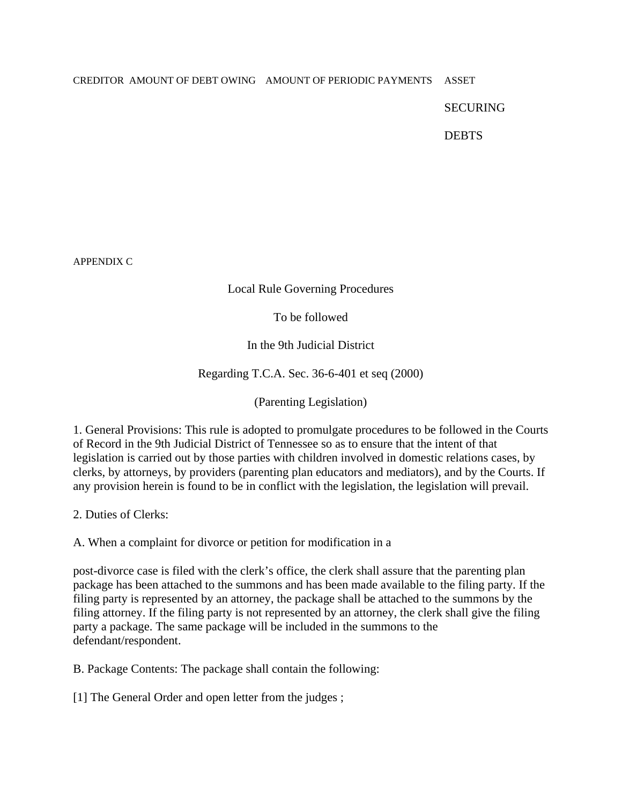#### CREDITOR AMOUNT OF DEBT OWING AMOUNT OF PERIODIC PAYMENTS ASSET

#### SECURING

**DEBTS** 

APPENDIX C

### Local Rule Governing Procedures

To be followed

In the 9th Judicial District

Regarding T.C.A. Sec. 36-6-401 et seq (2000)

(Parenting Legislation)

1. General Provisions: This rule is adopted to promulgate procedures to be followed in the Courts of Record in the 9th Judicial District of Tennessee so as to ensure that the intent of that legislation is carried out by those parties with children involved in domestic relations cases, by clerks, by attorneys, by providers (parenting plan educators and mediators), and by the Courts. If any provision herein is found to be in conflict with the legislation, the legislation will prevail.

2. Duties of Clerks:

A. When a complaint for divorce or petition for modification in a

post-divorce case is filed with the clerk's office, the clerk shall assure that the parenting plan package has been attached to the summons and has been made available to the filing party. If the filing party is represented by an attorney, the package shall be attached to the summons by the filing attorney. If the filing party is not represented by an attorney, the clerk shall give the filing party a package. The same package will be included in the summons to the defendant/respondent.

B. Package Contents: The package shall contain the following:

[1] The General Order and open letter from the judges;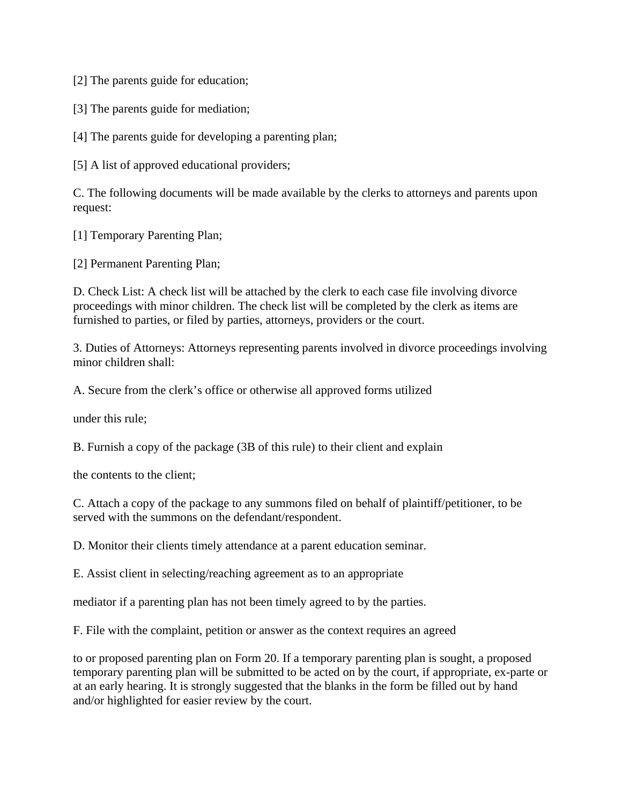[2] The parents guide for education;

[3] The parents guide for mediation;

[4] The parents guide for developing a parenting plan;

[5] A list of approved educational providers;

C. The following documents will be made available by the clerks to attorneys and parents upon request:

[1] Temporary Parenting Plan;

[2] Permanent Parenting Plan;

D. Check List: A check list will be attached by the clerk to each case file involving divorce proceedings with minor children. The check list will be completed by the clerk as items are furnished to parties, or filed by parties, attorneys, providers or the court.

3. Duties of Attorneys: Attorneys representing parents involved in divorce proceedings involving minor children shall:

A. Secure from the clerk's office or otherwise all approved forms utilized

under this rule;

B. Furnish a copy of the package (3B of this rule) to their client and explain

the contents to the client;

C. Attach a copy of the package to any summons filed on behalf of plaintiff/petitioner, to be served with the summons on the defendant/respondent.

D. Monitor their clients timely attendance at a parent education seminar.

E. Assist client in selecting/reaching agreement as to an appropriate

mediator if a parenting plan has not been timely agreed to by the parties.

F. File with the complaint, petition or answer as the context requires an agreed

to or proposed parenting plan on Form 20. If a temporary parenting plan is sought, a proposed temporary parenting plan will be submitted to be acted on by the court, if appropriate, ex-parte or at an early hearing. It is strongly suggested that the blanks in the form be filled out by hand and/or highlighted for easier review by the court.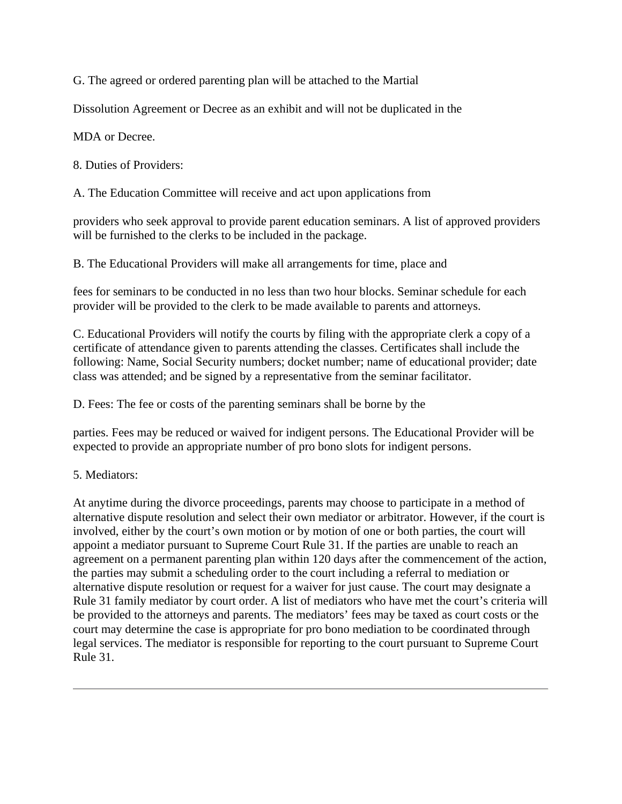G. The agreed or ordered parenting plan will be attached to the Martial

Dissolution Agreement or Decree as an exhibit and will not be duplicated in the

MDA or Decree.

8. Duties of Providers:

A. The Education Committee will receive and act upon applications from

providers who seek approval to provide parent education seminars. A list of approved providers will be furnished to the clerks to be included in the package.

B. The Educational Providers will make all arrangements for time, place and

fees for seminars to be conducted in no less than two hour blocks. Seminar schedule for each provider will be provided to the clerk to be made available to parents and attorneys.

C. Educational Providers will notify the courts by filing with the appropriate clerk a copy of a certificate of attendance given to parents attending the classes. Certificates shall include the following: Name, Social Security numbers; docket number; name of educational provider; date class was attended; and be signed by a representative from the seminar facilitator.

D. Fees: The fee or costs of the parenting seminars shall be borne by the

parties. Fees may be reduced or waived for indigent persons. The Educational Provider will be expected to provide an appropriate number of pro bono slots for indigent persons.

5. Mediators:

At anytime during the divorce proceedings, parents may choose to participate in a method of alternative dispute resolution and select their own mediator or arbitrator. However, if the court is involved, either by the court's own motion or by motion of one or both parties, the court will appoint a mediator pursuant to Supreme Court Rule 31. If the parties are unable to reach an agreement on a permanent parenting plan within 120 days after the commencement of the action, the parties may submit a scheduling order to the court including a referral to mediation or alternative dispute resolution or request for a waiver for just cause. The court may designate a Rule 31 family mediator by court order. A list of mediators who have met the court's criteria will be provided to the attorneys and parents. The mediators' fees may be taxed as court costs or the court may determine the case is appropriate for pro bono mediation to be coordinated through legal services. The mediator is responsible for reporting to the court pursuant to Supreme Court Rule 31.